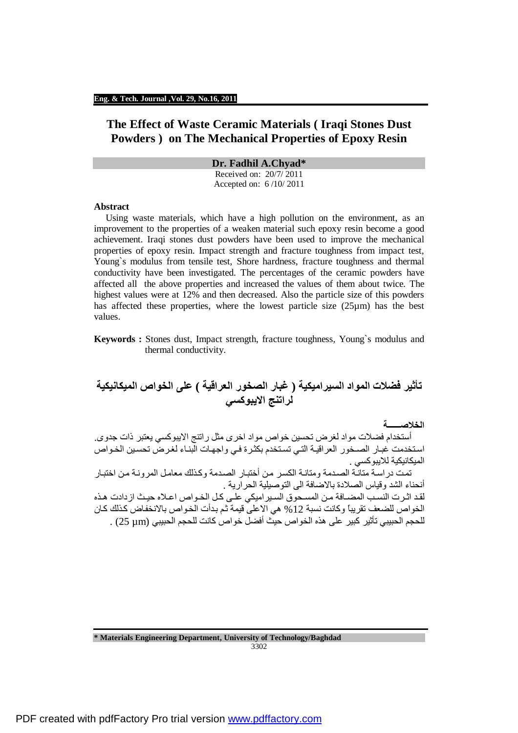### **Eng. & Tech. Journal ,Vol. 29, No.16, 2011**

# **The Effect of Waste Ceramic Materials ( Iraqi Stones Dust Powders ) on The Mechanical Properties of Epoxy Resin**

**Dr. Fadhil A.Chyad\*** 

Received on: 20/7/ 2011 Accepted on: 6 /10/ 2011

#### **Abstract**

Using waste materials, which have a high pollution on the environment, as an improvement to the properties of a weaken material such epoxy resin become a good achievement. Iraqi stones dust powders have been used to improve the mechanical properties of epoxy resin. Impact strength and fracture toughness from impact test, Young`s modulus from tensile test, Shore hardness, fracture toughness and thermal conductivity have been investigated. The percentages of the ceramic powders have affected all the above properties and increased the values of them about twice. The highest values were at 12% and then decreased. Also the particle size of this powders has affected these properties, where the lowest particle size  $(25\mu m)$  has the best values.

**Keywords :** Stones dust, Impact strength, fracture toughness, Young`s modulus and thermal conductivity.

# **تأثیر فضلات المواد السیرامیكیة ( غبار الصخور العراقیة ) على الخواص المیكانیكیة لراتنج الایبوكسي**

**الخلاصــــــة** 

أستخدام فضلات مواد لغرض تحسین خواص مواد اخرى مثل راتنج الایبوكسي یعتبر ذات جدوى. استخدمت غبار الصـخور العراقيـة التـي تسـتخدم بكثرة فـي واجهـات البنـاء لغرض تحسين الخـواص المیكانیكیة للایبوكسي .

.<br>تمت دراسة متانة الصدمة ومتانـة الكسر من أختبـار الصدمة وكذلك معامل المرونـة من اختبـار أنحناء الشد وقیاس الصلادة بالاضافة الى التوصیلیة الحراریة .

لقد اثـرت النسـب المضــافة مـن المسـحوق السـير اميكي علـي كـل الخـواص اعـلاه حيـث ازدادت هـذه الخواص للضعف تقريباً وكانت نسبة 12 % هي الاعلى قيمة ثم بدأت الخواص بالانخفاض كذلك كان للحجم الحبیبي تأثیر كبیر على ھذه الخواص حیث أفضل خواص كانت للحجم الحبیبي (µm 25 (.

**\* Materials Engineering Department, University of Technology/Baghdad** 3302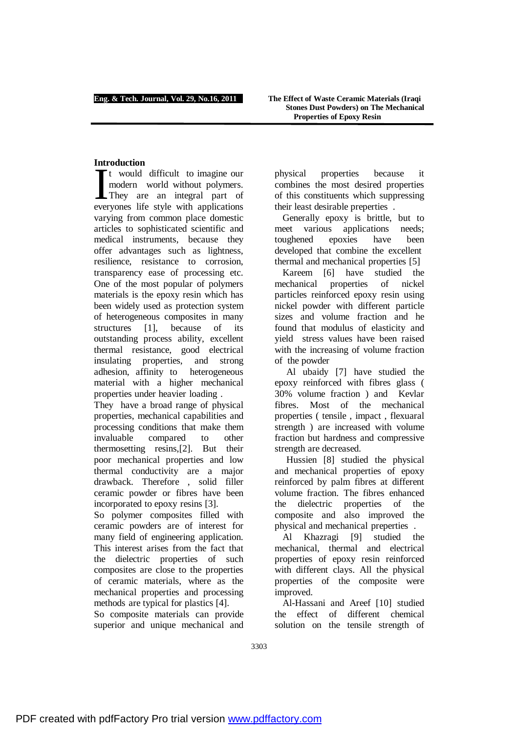# **Introduction**

t would difficult to imagine our modern world without polymers. They are an integral part of everyones life style with applications varying from common place domestic articles to sophisticated scientific and medical instruments, because they offer advantages such as lightness, resilience, resistance to corrosion, transparency ease of processing etc. One of the most popular of polymers materials is the epoxy resin which has been widely used as protection system of heterogeneous composites in many structures [1], because of its outstanding process ability, excellent thermal resistance, good electrical insulating properties, and strong adhesion, affinity to heterogeneous material with a higher mechanical properties under heavier loading . **I**<br>I

They have a broad range of physical properties, mechanical capabilities and processing conditions that make them invaluable compared to other thermosetting resins,[2]. But their poor mechanical properties and low thermal conductivity are a major drawback. Therefore , solid filler ceramic powder or fibres have been incorporated to epoxy resins [3].

So polymer composites filled with ceramic powders are of interest for many field of engineering application. This interest arises from the fact that the dielectric properties of such composites are close to the properties of ceramic materials, where as the mechanical properties and processing methods are typical for plastics [4].

So composite materials can provide superior and unique mechanical and physical properties because it combines the most desired properties of this constituents which suppressing their least desirable preperties .

Generally epoxy is brittle, but to meet various applications needs; toughened epoxies have been developed that combine the excellent thermal and mechanical properties [5]

Kareem [6] have studied the mechanical properties of nickel particles reinforced epoxy resin using nickel powder with different particle sizes and volume fraction and he found that modulus of elasticity and yield stress values have been raised with the increasing of volume fraction of the powder

Al ubaidy [7] have studied the epoxy reinforced with fibres glass ( 30% volume fraction ) and Kevlar fibres. Most of the mechanical properties ( tensile , impact , flexuaral strength ) are increased with volume fraction but hardness and compressive strength are decreased.

Hussien [8] studied the physical and mechanical properties of epoxy reinforced by palm fibres at different volume fraction. The fibres enhanced the dielectric properties of the composite and also improved the physical and mechanical preperties .

Al Khazragi [9] studied the mechanical, thermal and electrical properties of epoxy resin reinforced with different clays. All the physical properties of the composite were improved.

Al-Hassani and Areef [10] studied the effect of different chemical solution on the tensile strength of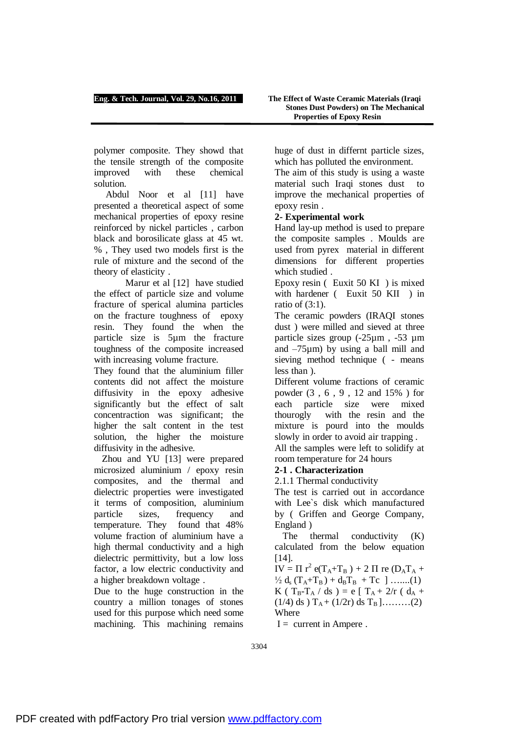polymer composite. They showd that the tensile strength of the composite improved with these chemical solution.

Abdul Noor et al [11] have presented a theoretical aspect of some mechanical properties of epoxy resine reinforced by nickel particles , carbon black and borosilicate glass at 45 wt. % , They used two models first is the rule of mixture and the second of the theory of elasticity .

Marur et al [12] have studied the effect of particle size and volume fracture of sperical alumina particles on the fracture toughness of epoxy resin. They found the when the particle size is 5µm the fracture toughness of the composite increased with increasing volume fracture.

They found that the aluminium filler contents did not affect the moisture diffusivity in the epoxy adhesive significantly but the effect of salt concentraction was significant; the higher the salt content in the test solution, the higher the moisture diffusivity in the adhesive.

Zhou and YU [13] were prepared microsized aluminium / epoxy resin composites, and the thermal and dielectric properties were investigated it terms of composition, aluminium particle sizes, frequency and temperature. They found that 48% volume fraction of aluminium have a high thermal conductivity and a high dielectric permittivity, but a low loss factor, a low electric conductivity and a higher breakdown voltage .

Due to the huge construction in the country a million tonages of stones used for this purpose which need some machining. This machining remains huge of dust in differnt particle sizes, which has polluted the environment.

The aim of this study is using a waste material such Iraqi stones dust to improve the mechanical properties of epoxy resin .

# **2- Experimental work**

Hand lay-up method is used to prepare the composite samples . Moulds are used from pyrex material in different dimensions for different properties which studied .

Epoxy resin ( Euxit 50 KI ) is mixed with hardener ( Euxit 50 KII ) in ratio of (3:1).

The ceramic powders (IRAQI stones dust ) were milled and sieved at three particle sizes group (-25µm , -53 µm and –75µm) by using a ball mill and sieving method technique ( - means less than ).

Different volume fractions of ceramic powder (3 , 6 , 9 , 12 and 15% ) for each particle size were mixed thourogly with the resin and the mixture is pourd into the moulds slowly in order to avoid air trapping .

All the samples were left to solidify at room temperature for 24 hours

# **2-1 . Characterization**

2.1.1 Thermal conductivity

The test is carried out in accordance with Lee`s disk which manufactured by ( Griffen and George Company, England )

The thermal conductivity (K) calculated from the below equation [14].

 $IV = \Pi r^2 e(T_A + T_B) + 2 \Pi re(D_A T_A +$  $\frac{1}{2} d_s (T_A + T_B) + d_B T_B + T_C$  ] …....(1) K ( T<sub>B</sub>-T<sub>A</sub> / ds ) = e [ T<sub>A</sub> + 2/r ( d<sub>A</sub> +  $(1/4)$  ds  $T_A + (1/2r)$  ds  $T_B$  ]………(2) Where

 $I =$  current in Ampere.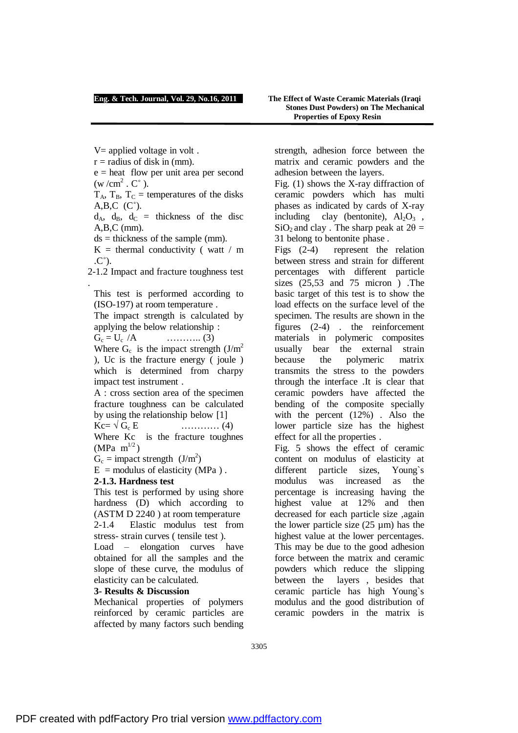## **Eng. & Tech. Journal, Vol. 29, No.16, 2011 The Effect of Waste Ceramic Materials (Iraqi**

# **Stones Dust Powders) on The Mechanical Properties of Epoxy Resin**

 $V=$  applied voltage in volt.

 $r =$  radius of disk in (mm).

 $e =$  heat flow per unit area per second  $(w/cm^2 \cdot C^{\circ})$ .

 $T_A$ ,  $T_B$ ,  $T_C$  = temperatures of the disks  $A, B, C \ (C^{\circ}).$ 

 $d_A$ ,  $d_B$ ,  $d_C$  = thickness of the disc A,B,C (mm).

 $ds =$  thickness of the sample (mm).

 $K =$  thermal conductivity (watt / m  $(C^{\circ})$ .

2-1.2 Impact and fracture toughness test .

This test is performed according to (ISO-197) at room temperature .

The impact strength is calculated by applying the below relationship :

 $G_c = U_c / A$  …………. (3)

Where  $G_c$  is the impact strength  $(J/m^2)$ ), Uc is the fracture energy ( joule ) which is determined from charpy impact test instrument .

A : cross section area of the specimen fracture toughness can be calculated by using the relationship below [1]

 $Kc = \sqrt{G_c} E$  ………… (4) Where Kc is the fracture toughnes (MPa  $m^{1/2}$ )

 $G_c =$  impact strength  $(J/m^2)$ 

 $E =$  modulus of elasticity (MPa).

## **2-1.3. Hardness test**

This test is performed by using shore hardness (D) which according to (ASTM D 2240 ) at room temperature 2-1.4 Elastic modulus test from stress- strain curves ( tensile test ).

Load – elongation curves have obtained for all the samples and the slope of these curve, the modulus of elasticity can be calculated.

## **3- Results & Discussion**

Mechanical properties of polymers reinforced by ceramic particles are affected by many factors such bending strength, adhesion force between the matrix and ceramic powders and the adhesion between the layers.

Fig. (1) shows the X-ray diffraction of ceramic powders which has multi phases as indicated by cards of X-ray including clay (bentonite),  $Al_2O_3$ ,  $SiO<sub>2</sub>$  and clay . The sharp peak at  $2\theta =$ 31 belong to bentonite phase .

Figs (2-4) represent the relation between stress and strain for different percentages with different particle sizes (25,53 and 75 micron ) .The basic target of this test is to show the load effects on the surface level of the specimen. The results are shown in the figures (2-4) . the reinforcement materials in polymeric composites usually bear the external strain because the polymeric matrix transmits the stress to the powders through the interface .It is clear that ceramic powders have affected the bending of the composite specially with the percent (12%). Also the lower particle size has the highest effect for all the properties .

Fig. 5 shows the effect of ceramic content on modulus of elasticity at different particle sizes, Young`s modulus was increased as the percentage is increasing having the highest value at 12% and then decreased for each particle size ,again the lower particle size (25 µm) has the highest value at the lower percentages. This may be due to the good adhesion force between the matrix and ceramic powders which reduce the slipping between the layers , besides that ceramic particle has high Young`s modulus and the good distribution of ceramic powders in the matrix is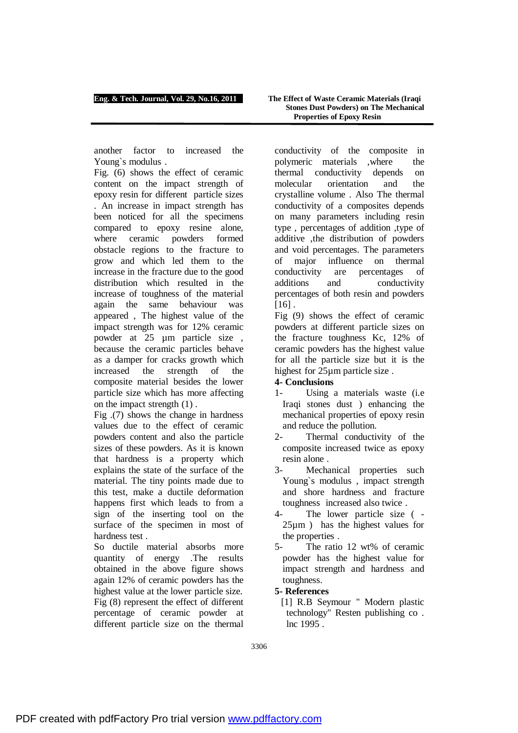another factor to increased the Young`s modulus .

Fig. (6) shows the effect of ceramic content on the impact strength of epoxy resin for different particle sizes . An increase in impact strength has been noticed for all the specimens compared to epoxy resine alone, where ceramic powders formed obstacle regions to the fracture to grow and which led them to the increase in the fracture due to the good distribution which resulted in the increase of toughness of the material again the same behaviour was appeared , The highest value of the impact strength was for 12% ceramic powder at 25 µm particle size , because the ceramic particles behave as a damper for cracks growth which increased the strength of the composite material besides the lower particle size which has more affecting on the impact strength (1) .

Fig .(7) shows the change in hardness values due to the effect of ceramic powders content and also the particle sizes of these powders. As it is known that hardness is a property which explains the state of the surface of the material. The tiny points made due to this test, make a ductile deformation happens first which leads to from a sign of the inserting tool on the surface of the specimen in most of hardness test .

So ductile material absorbs more quantity of energy .The results obtained in the above figure shows again 12% of ceramic powders has the highest value at the lower particle size. Fig (8) represent the effect of different percentage of ceramic powder at different particle size on the thermal conductivity of the composite in polymeric materials ,where the thermal conductivity depends on molecular orientation and the crystalline volume . Also The thermal conductivity of a composites depends on many parameters including resin type , percentages of addition ,type of additive ,the distribution of powders and void percentages. The parameters of major influence on thermal conductivity are percentages of additions and conductivity percentages of both resin and powders  $[16]$ .

Fig (9) shows the effect of ceramic powders at different particle sizes on the fracture toughness Kc, 12% of ceramic powders has the highest value for all the particle size but it is the highest for 25µm particle size .

# **4- Conclusions**

- 1- Using a materials waste (i.e Iraqi stones dust ) enhancing the mechanical properties of epoxy resin and reduce the pollution.
- 2- Thermal conductivity of the composite increased twice as epoxy resin alone .
- 3- Mechanical properties such Young`s modulus , impact strength and shore hardness and fracture toughness increased also twice .
- 4- The lower particle size ( 25µm ) has the highest values for the properties .
- 5- The ratio 12 wt% of ceramic powder has the highest value for impact strength and hardness and toughness.

# **5- References**

[1] R.B Seymour " Modern plastic technology" Resten publishing co . lnc 1995 .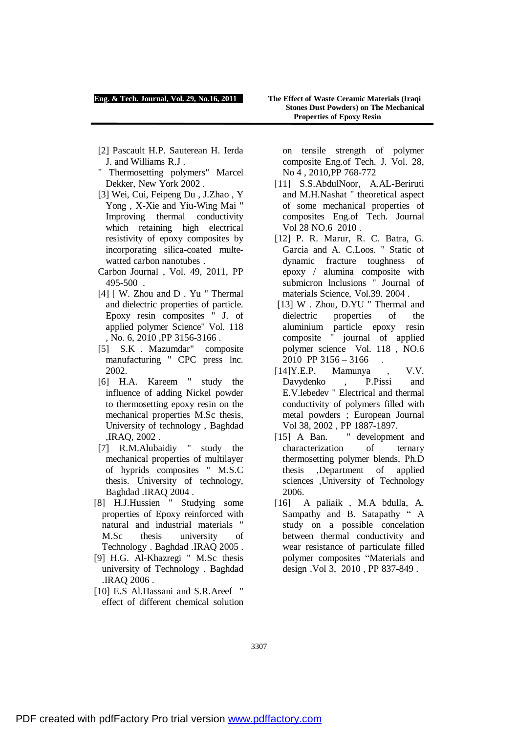### **Eng. & Tech. Journal, Vol. 29, No.16, 2011 The Effect of Waste Ceramic Materials (Iraqi**

- [2] Pascault H.P. Sauterean H. Ierda J. and Williams R.J .
- " Thermosetting polymers" Marcel Dekker, New York 2002 .
- [3] Wei, Cui, Feipeng Du , J.Zhao , Y Yong , X-Xie and Yiu-Wing Mai " Improving thermal conductivity which retaining high electrical resistivity of epoxy composites by incorporating silica-coated multewatted carbon nanotubes .
- Carbon Journal , Vol. 49, 2011, PP 495-500 .
- [4] [ W. Zhou and D. Yu " Thermal and dielectric properties of particle. Epoxy resin composites " J. of applied polymer Science" Vol. 118 , No. 6, 2010 ,PP 3156-3166 .
- [5] S.K . Mazumdar" composite manufacturing " CPC press lnc. 2002.
- [6] H.A. Kareem " study the influence of adding Nickel powder to thermosetting epoxy resin on the mechanical properties M.Sc thesis, University of technology , Baghdad ,IRAQ, 2002 .
- [7] R.M.Alubaidiy " study the mechanical properties of multilayer of hyprids composites " M.S.C thesis. University of technology, Baghdad .IRAQ 2004 .
- [8] H.J.Hussien " Studying some properties of Epoxy reinforced with natural and industrial materials " M.Sc thesis university of Technology . Baghdad .IRAQ 2005 .
- [9] H.G. Al-Khazregi " M.Sc thesis university of Technology . Baghdad .IRAQ 2006 .
- [10] E.S Al.Hassani and S.R.Areef " effect of different chemical solution

on tensile strength of polymer composite Eng.of Tech. J. Vol. 28, No 4 , 2010,PP 768-772

- [11] S.S.AbdulNoor, A.AL-Beriruti and M.H.Nashat " theoretical aspect of some mechanical properties of composites Eng.of Tech. Journal Vol 28 NO.6 2010 .
- [12] P. R. Marur, R. C. Batra, G. Garcia and A. C.Loos. " Static of dynamic fracture toughness of epoxy / alumina composite with submicron lnclusions " Journal of materials Science, Vol.39. 2004 .
- [13] W. Zhou, D.YU "Thermal and dielectric properties of the aluminium particle epoxy resin composite " journal of applied polymer science Vol. 118 , NO.6 2010 PP 3156 - 3166
- [14]Y.E.P. Mamunya , V.V. Davydenko , P.Pissi and E.V.lebedev " Electrical and thermal conductivity of polymers filled with metal powders ; European Journal Vol 38, 2002 , PP 1887-1897.
- [15] A Ban. " development and characterization of ternary thermosetting polymer blends, Ph.D thesis ,Department of applied sciences ,University of Technology 2006.
- [16] A paliaik , M.A bdulla, A. Sampathy and B. Satapathy " A study on a possible concelation between thermal conductivity and wear resistance of particulate filled polymer composites "Materials and design .Vol 3, 2010 , PP 837-849 .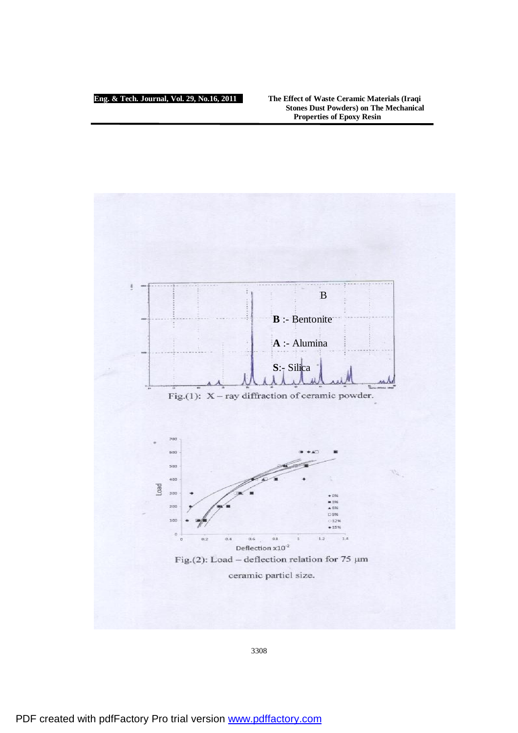### **Eng. & Tech. Journal, Vol. 29, No.16, 2011 The Effect of Waste Ceramic Materials (Iraqi Stones Dust Powders) on The Mechanical Properties of Epoxy Resin**

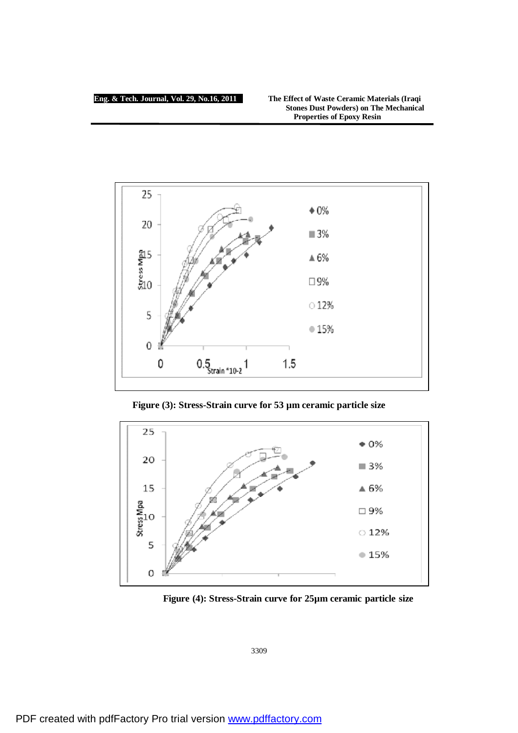

**Figure (3): Stress-Strain curve for 53 µm ceramic particle size**



**Figure (4): Stress-Strain curve for 25µm ceramic particle size**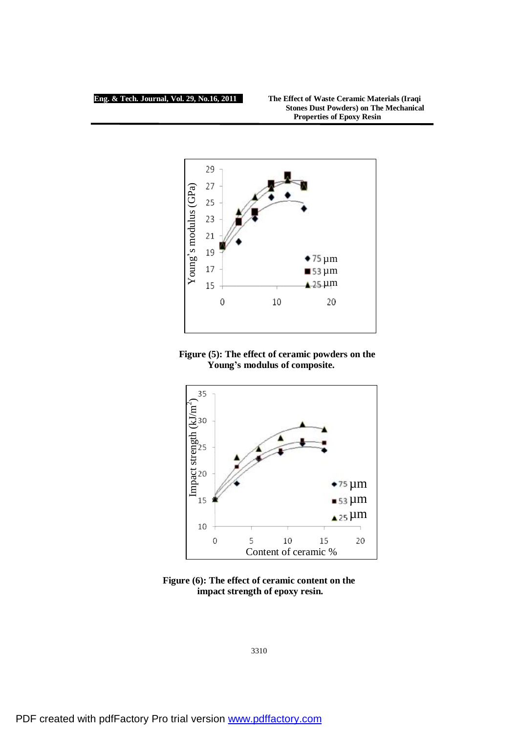### **Eng. & Tech. Journal, Vol. 29, No.16, 2011 The Effect of Waste Ceramic Materials (Iraqi Stones Dust Powders) on The Mechanical Properties of Epoxy Resin**



# **Figure (5): The effect of ceramic powders on the Young's modulus of composite.**



**Figure (6): The effect of ceramic content on the impact strength of epoxy resin.**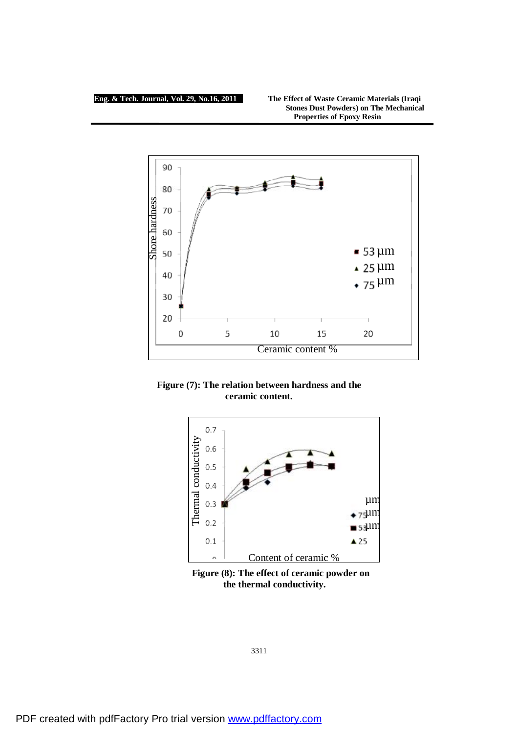### **Eng. & Tech. Journal, Vol. 29, No.16, 2011 The Effect of Waste Ceramic Materials (Iraqi Stones Dust Powders) on The Mechanical Properties of Epoxy Resin**



**Figure (7): The relation between hardness and the ceramic content.** 



 **Figure (8): The effect of ceramic powder on the thermal conductivity.**